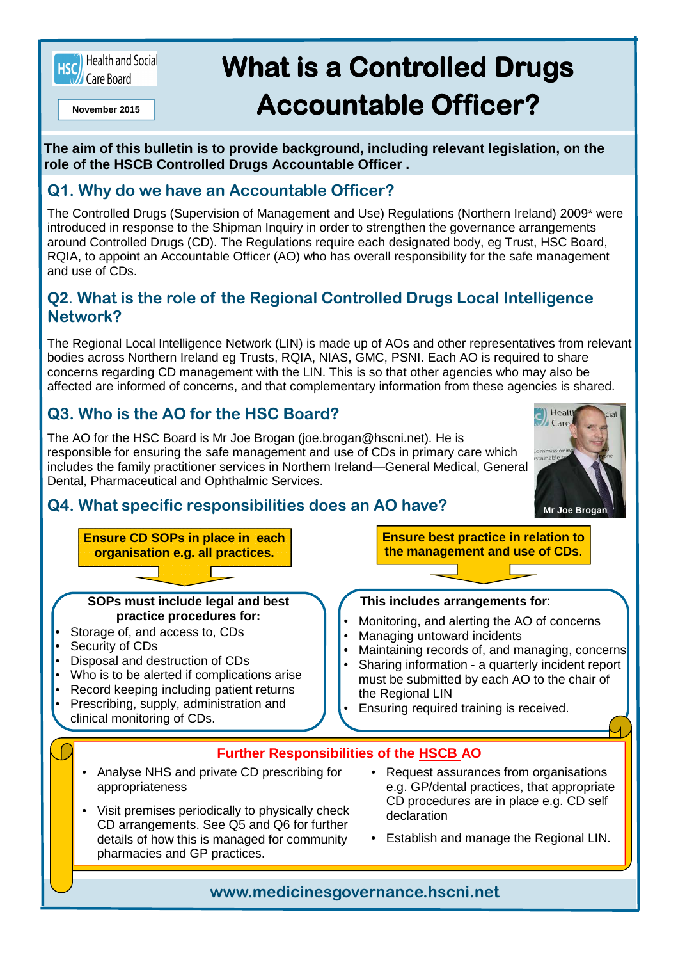

# **What is a Controlled Drugs November 2015 Accountable Officer?**

**The aim of this bulletin is to provide background, including relevant legislation, on the role of the HSCB Controlled Drugs Accountable Officer .** 

### **Q1. Why do we have an Accountable Officer?**

The Controlled Drugs (Supervision of Management and Use) Regulations (Northern Ireland) 2009\* were introduced in response to the Shipman Inquiry in order to strengthen the governance arrangements around Controlled Drugs (CD). The Regulations require each designated body, eg Trust, HSC Board, RQIA, to appoint an Accountable Officer (AO) who has overall responsibility for the safe management and use of CDs.

#### **Q2**. **What is the role of the Regional Controlled Drugs Local Intelligence Network?**

The Regional Local Intelligence Network (LIN) is made up of AOs and other representatives from relevant bodies across Northern Ireland eg Trusts, RQIA, NIAS, GMC, PSNI. Each AO is required to share concerns regarding CD management with the LIN. This is so that other agencies who may also be affected are informed of concerns, and that complementary information from these agencies is shared.

# **Q3. Who is the AO for the HSC Board?**

The AO for the HSC Board is Mr Joe Brogan (joe.brogan@hscni.net). He is responsible for ensuring the safe management and use of CDs in primary care which includes the family practitioner services in Northern Ireland—General Medical, General Dental, Pharmaceutical and Ophthalmic Services.



## **Q4. What specific responsibilities does an AO have?**

details of how this is managed for community

pharmacies and GP practices.



• Establish and manage the Regional LIN.

**www.medicinesgovernance.hscni.net**